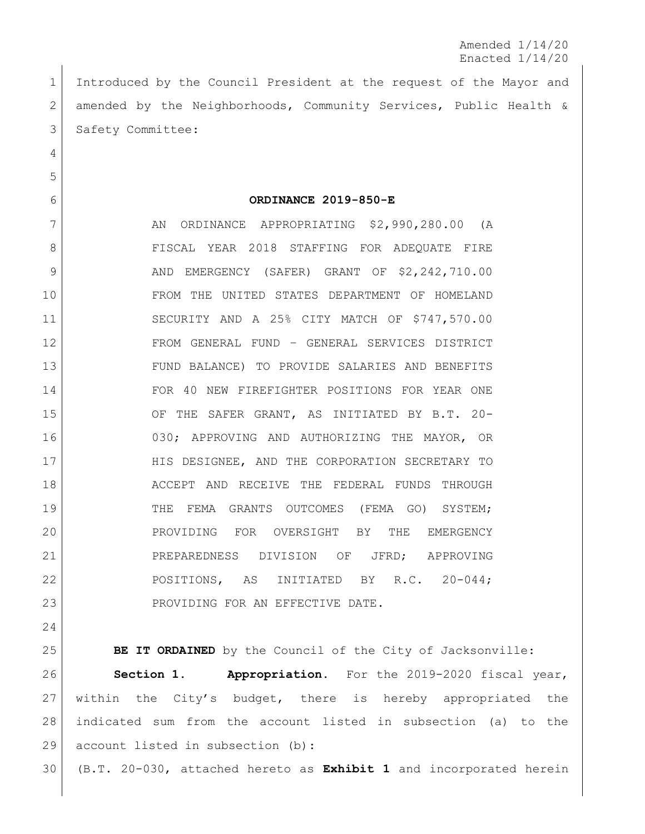Amended 1/14/20 Enacted 1/14/20

 Introduced by the Council President at the request of the Mayor and amended by the Neighborhoods, Community Services, Public Health & 3 Safety Committee:

**ORDINANCE 2019-850-E**

7 AN ORDINANCE APPROPRIATING \$2,990,280.00 (A 8 | FISCAL YEAR 2018 STAFFING FOR ADEQUATE FIRE 9 AND EMERGENCY (SAFER) GRANT OF \$2,242,710.00 FROM THE UNITED STATES DEPARTMENT OF HOMELAND SECURITY AND A 25% CITY MATCH OF \$747,570.00 FROM GENERAL FUND – GENERAL SERVICES DISTRICT FUND BALANCE) TO PROVIDE SALARIES AND BENEFITS FOR 40 NEW FIREFIGHTER POSITIONS FOR YEAR ONE OF THE SAFER GRANT, AS INITIATED BY B.T. 20- 030; APPROVING AND AUTHORIZING THE MAYOR, OR HIS DESIGNEE, AND THE CORPORATION SECRETARY TO ACCEPT AND RECEIVE THE FEDERAL FUNDS THROUGH 19 | THE FEMA GRANTS OUTCOMES (FEMA GO) SYSTEM; PROVIDING FOR OVERSIGHT BY THE EMERGENCY PREPAREDNESS DIVISION OF JFRD; APPROVING POSITIONS, AS INITIATED BY R.C. 20-044; 23 | PROVIDING FOR AN EFFECTIVE DATE.

**BE IT ORDAINED** by the Council of the City of Jacksonville: **Section 1. Appropriation.** For the 2019-2020 fiscal year, within the City's budget, there is hereby appropriated the indicated sum from the account listed in subsection (a) to the 29 account listed in subsection (b):

(B.T. 20-030, attached hereto as **Exhibit 1** and incorporated herein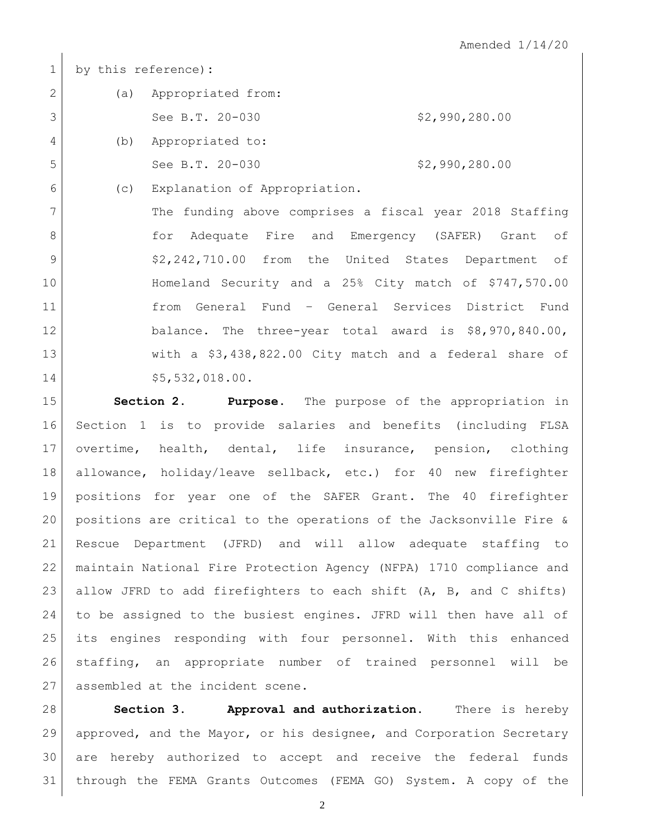by this reference)**:**

|   | (a) | Appropriated from:   |                |
|---|-----|----------------------|----------------|
|   |     | See B.T. 20-030      | \$2,990,280.00 |
| 4 |     | (b) Appropriated to: |                |
| 5 |     | See B.T. 20-030      | \$2,990,280.00 |

(c) Explanation of Appropriation.

7 The funding above comprises a fiscal year 2018 Staffing **for Adequate Fire and Emergency (SAFER)** Grant of 9 | \$2,242,710.00 from the United States Department of Homeland Security and a 25% City match of \$747,570.00 from General Fund – General Services District Fund balance. The three-year total award is \$8,970,840.00, with a \$3,438,822.00 City match and a federal share of 14 \$5,532,018.00.

 **Section 2. Purpose**. The purpose of the appropriation in Section 1 is to provide salaries and benefits (including FLSA overtime, health, dental, life insurance, pension, clothing allowance, holiday/leave sellback, etc.) for 40 new firefighter positions for year one of the SAFER Grant. The 40 firefighter positions are critical to the operations of the Jacksonville Fire & Rescue Department (JFRD) and will allow adequate staffing to maintain National Fire Protection Agency (NFPA) 1710 compliance and 23 allow JFRD to add firefighters to each shift  $(A, B, and C)$  shifts) to be assigned to the busiest engines. JFRD will then have all of its engines responding with four personnel. With this enhanced staffing, an appropriate number of trained personnel will be 27 assembled at the incident scene.

 **Section 3. Approval and authorization.** There is hereby approved, and the Mayor, or his designee, and Corporation Secretary are hereby authorized to accept and receive the federal funds through the FEMA Grants Outcomes (FEMA GO) System. A copy of the